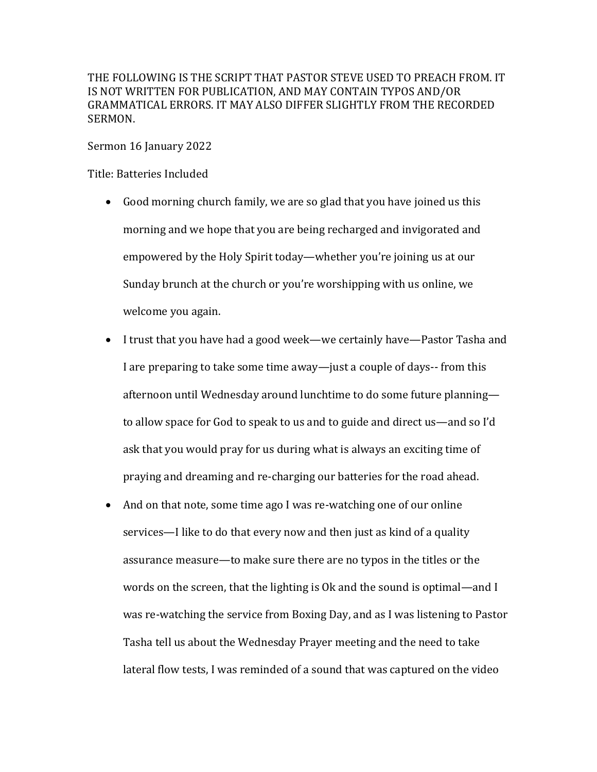THE FOLLOWING IS THE SCRIPT THAT PASTOR STEVE USED TO PREACH FROM. IT IS NOT WRITTEN FOR PUBLICATION, AND MAY CONTAIN TYPOS AND/OR GRAMMATICAL ERRORS. IT MAY ALSO DIFFER SLIGHTLY FROM THE RECORDED SERMON.

Sermon 16 January 2022

Title: Batteries Included

- Good morning church family, we are so glad that you have joined us this morning and we hope that you are being recharged and invigorated and empowered by the Holy Spirit today—whether you're joining us at our Sunday brunch at the church or you're worshipping with us online, we welcome you again.
- I trust that you have had a good week—we certainly have—Pastor Tasha and I are preparing to take some time away—just a couple of days--from this afternoon until Wednesday around lunchtime to do some future planning to allow space for God to speak to us and to guide and direct us—and so I'd ask that you would pray for us during what is always an exciting time of praying and dreaming and re-charging our batteries for the road ahead.
- And on that note, some time ago I was re-watching one of our online services—I like to do that every now and then just as kind of a quality assurance measure—to make sure there are no typos in the titles or the words on the screen, that the lighting is  $Ok$  and the sound is optimal—and I was re-watching the service from Boxing Day, and as I was listening to Pastor Tasha tell us about the Wednesday Prayer meeting and the need to take lateral flow tests, I was reminded of a sound that was captured on the video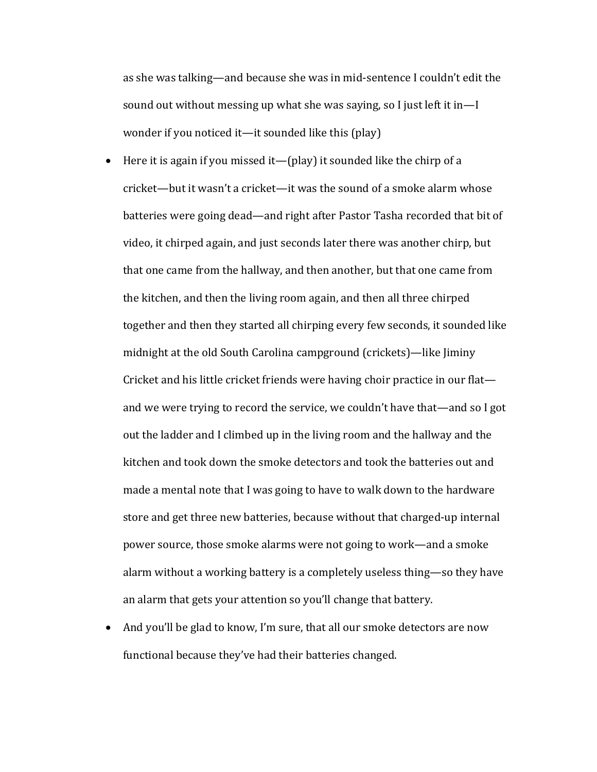as she was talking—and because she was in mid-sentence I couldn't edit the sound out without messing up what she was saying, so I just left it in—I wonder if you noticed it—it sounded like this (play)

- Here it is again if you missed it—(play) it sounded like the chirp of a cricket—but it wasn't a cricket—it was the sound of a smoke alarm whose batteries were going dead—and right after Pastor Tasha recorded that bit of video, it chirped again, and just seconds later there was another chirp, but that one came from the hallway, and then another, but that one came from the kitchen, and then the living room again, and then all three chirped together and then they started all chirping every few seconds, it sounded like midnight at the old South Carolina campground (crickets)—like Jiminy Cricket and his little cricket friends were having choir practice in our flatand we were trying to record the service, we couldn't have that—and so I got out the ladder and I climbed up in the living room and the hallway and the kitchen and took down the smoke detectors and took the batteries out and made a mental note that I was going to have to walk down to the hardware store and get three new batteries, because without that charged-up internal power source, those smoke alarms were not going to work—and a smoke alarm without a working battery is a completely useless thing—so they have an alarm that gets your attention so you'll change that battery.
- And you'll be glad to know, I'm sure, that all our smoke detectors are now functional because they've had their batteries changed.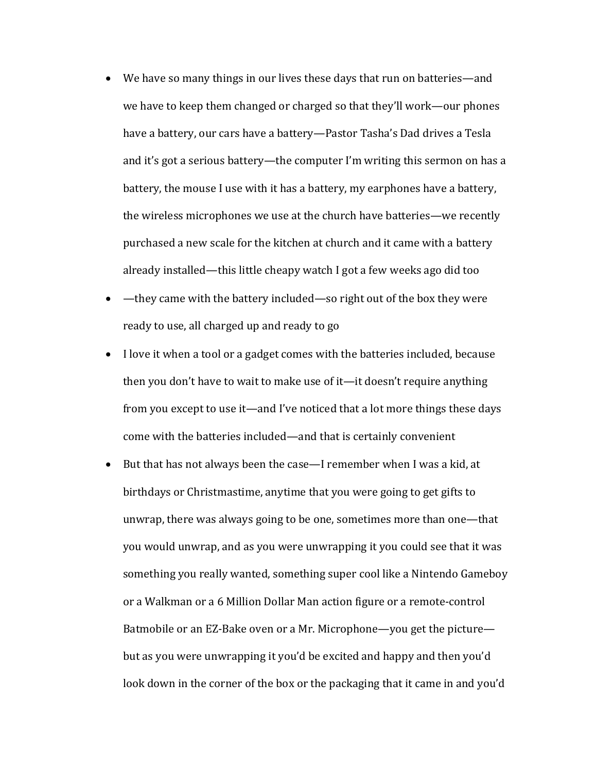- We have so many things in our lives these days that run on batteries—and we have to keep them changed or charged so that they'll work—our phones have a battery, our cars have a battery—Pastor Tasha's Dad drives a Tesla and it's got a serious battery—the computer I'm writing this sermon on has a battery, the mouse I use with it has a battery, my earphones have a battery, the wireless microphones we use at the church have batteries—we recently purchased a new scale for the kitchen at church and it came with a battery already installed—this little cheapy watch I got a few weeks ago did too
- $-\theta$  they came with the battery included—so right out of the box they were ready to use, all charged up and ready to go
- I love it when a tool or a gadget comes with the batteries included, because then you don't have to wait to make use of it—it doesn't require anything from you except to use it—and I've noticed that a lot more things these days come with the batteries included—and that is certainly convenient
- But that has not always been the case—I remember when I was a kid, at birthdays or Christmastime, anytime that you were going to get gifts to unwrap, there was always going to be one, sometimes more than one—that you would unwrap, and as you were unwrapping it you could see that it was something you really wanted, something super cool like a Nintendo Gameboy or a Walkman or a 6 Million Dollar Man action figure or a remote-control Batmobile or an EZ-Bake oven or a Mr. Microphone—you get the picture but as you were unwrapping it you'd be excited and happy and then you'd look down in the corner of the box or the packaging that it came in and you'd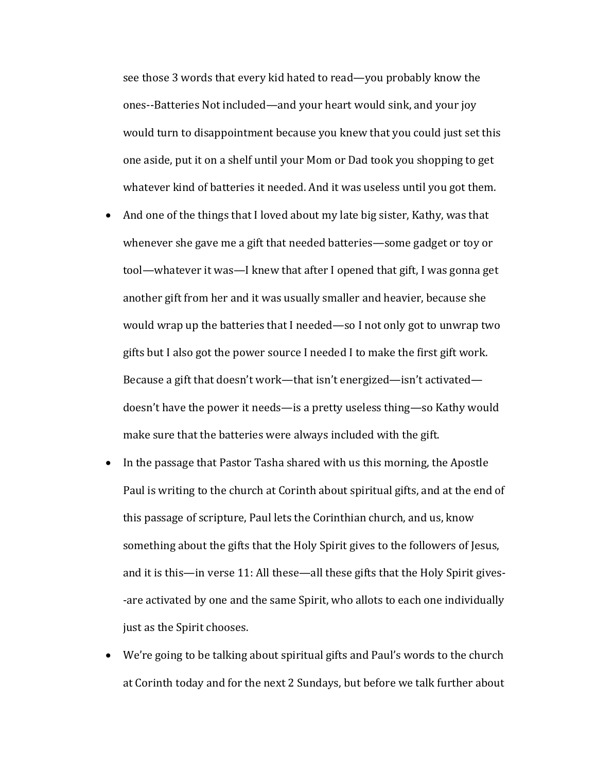see those 3 words that every kid hated to read—you probably know the ones--Batteries Not included—and your heart would sink, and your joy would turn to disappointment because you knew that you could just set this one aside, put it on a shelf until your Mom or Dad took you shopping to get whatever kind of batteries it needed. And it was useless until you got them.

- And one of the things that I loved about my late big sister, Kathy, was that whenever she gave me a gift that needed batteries—some gadget or toy or tool—whatever it was—I knew that after I opened that gift, I was gonna get another gift from her and it was usually smaller and heavier, because she would wrap up the batteries that I needed—so I not only got to unwrap two gifts but I also got the power source I needed I to make the first gift work. Because a gift that doesn't work—that isn't energized—isn't activated doesn't have the power it needs—is a pretty useless thing—so Kathy would make sure that the batteries were always included with the gift.
- In the passage that Pastor Tasha shared with us this morning, the Apostle Paul is writing to the church at Corinth about spiritual gifts, and at the end of this passage of scripture, Paul lets the Corinthian church, and us, know something about the gifts that the Holy Spirit gives to the followers of Jesus, and it is this—in verse 11: All these—all these gifts that the Holy Spirit gives--are activated by one and the same Spirit, who allots to each one individually just as the Spirit chooses.
- We're going to be talking about spiritual gifts and Paul's words to the church at Corinth today and for the next 2 Sundays, but before we talk further about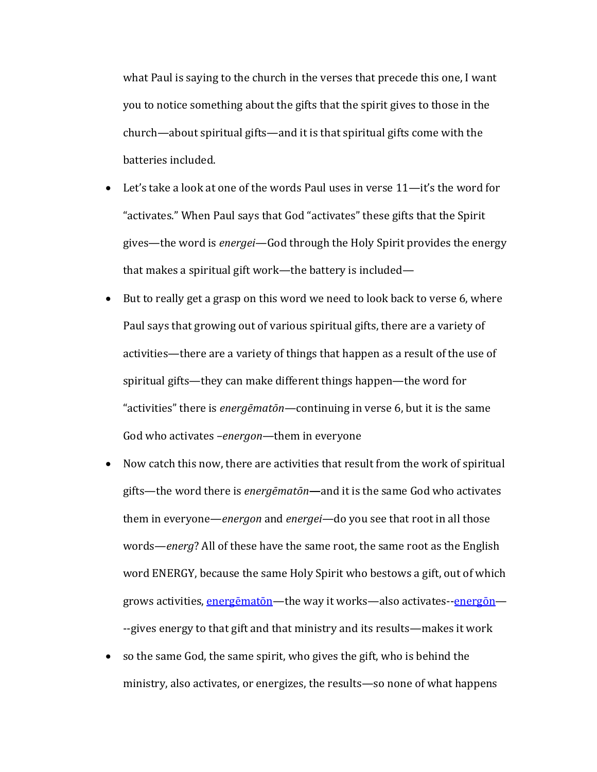what Paul is saying to the church in the verses that precede this one, I want you to notice something about the gifts that the spirit gives to those in the church—about spiritual gifts—and it is that spiritual gifts come with the batteries included.

- Let's take a look at one of the words Paul uses in verse  $11$ —it's the word for "activates." When Paul says that God "activates" these gifts that the Spirit gives—the word is *energei*—God through the Holy Spirit provides the energy that makes a spiritual gift work—the battery is included—
- But to really get a grasp on this word we need to look back to verse 6, where Paul says that growing out of various spiritual gifts, there are a variety of activities—there are a variety of things that happen as a result of the use of spiritual gifts—they can make different things happen—the word for "activities" there is *energēmatōn*—continuing in verse 6, but it is the same God who activates -*energon*—them in everyone
- Now catch this now, there are activities that result from the work of spiritual gifts—the word there is *energēmatōn*—and it is the same God who activates them in everyone—*energon* and *energei*—do you see that root in all those words—*energ*? All of these have the same root, the same root as the English word ENERGY, because the same Holy Spirit who bestows a gift, out of which grows activities, energematon—the way it works—also activates--energon— --gives energy to that gift and that ministry and its results—makes it work
- so the same God, the same spirit, who gives the gift, who is behind the ministry, also activates, or energizes, the results—so none of what happens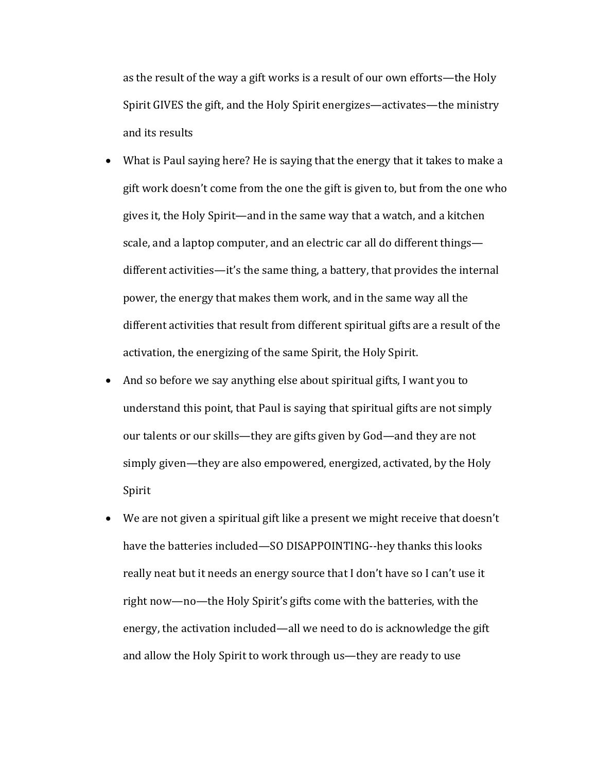as the result of the way a gift works is a result of our own efforts—the Holy Spirit GIVES the gift, and the Holy Spirit energizes—activates—the ministry and its results

- What is Paul saying here? He is saying that the energy that it takes to make a gift work doesn't come from the one the gift is given to, but from the one who gives it, the Holy Spirit—and in the same way that a watch, and a kitchen scale, and a laptop computer, and an electric car all do different things different activities—it's the same thing, a battery, that provides the internal power, the energy that makes them work, and in the same way all the different activities that result from different spiritual gifts are a result of the activation, the energizing of the same Spirit, the Holy Spirit.
- And so before we say anything else about spiritual gifts, I want you to understand this point, that Paul is saying that spiritual gifts are not simply our talents or our skills—they are gifts given by God—and they are not simply given—they are also empowered, energized, activated, by the Holy Spirit
- We are not given a spiritual gift like a present we might receive that doesn't have the batteries included—SO DISAPPOINTING--hey thanks this looks really neat but it needs an energy source that I don't have so I can't use it right now-no-the Holy Spirit's gifts come with the batteries, with the energy, the activation included—all we need to do is acknowledge the gift and allow the Holy Spirit to work through us—they are ready to use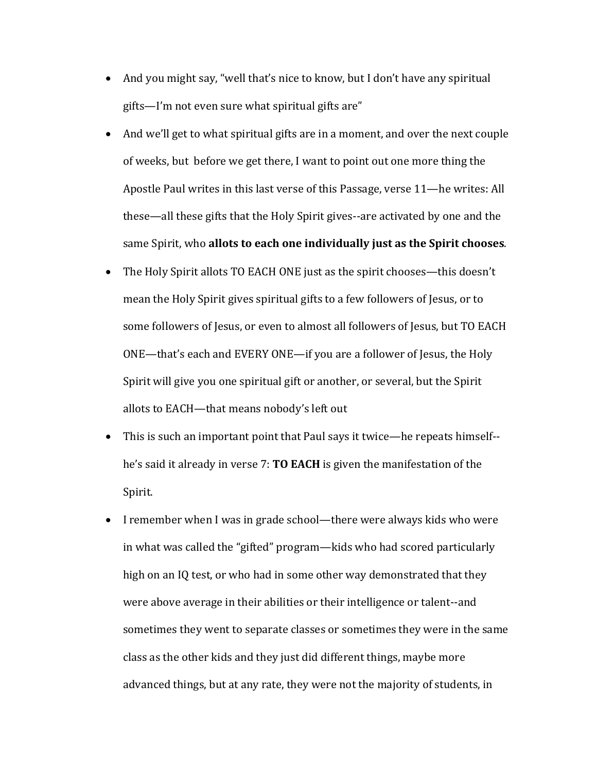- And you might say, "well that's nice to know, but I don't have any spiritual  $g$ ifts—I'm not even sure what spiritual gifts are"
- And we'll get to what spiritual gifts are in a moment, and over the next couple of weeks, but before we get there, I want to point out one more thing the Apostle Paul writes in this last verse of this Passage, verse 11—he writes: All these—all these gifts that the Holy Spirit gives--are activated by one and the same Spirit, who allots to each one individually just as the Spirit chooses.
- The Holy Spirit allots TO EACH ONE just as the spirit chooses—this doesn't mean the Holy Spirit gives spiritual gifts to a few followers of Jesus, or to some followers of Jesus, or even to almost all followers of Jesus, but TO EACH ONE—that's each and EVERY ONE—if you are a follower of Jesus, the Holy Spirit will give you one spiritual gift or another, or several, but the Spirit allots to EACH-that means nobody's left out
- This is such an important point that Paul says it twice—he repeats himself-he's said it already in verse 7: **TO EACH** is given the manifestation of the Spirit.
- I remember when I was in grade school—there were always kids who were in what was called the "gifted" program—kids who had scored particularly high on an IQ test, or who had in some other way demonstrated that they were above average in their abilities or their intelligence or talent--and sometimes they went to separate classes or sometimes they were in the same class as the other kids and they just did different things, maybe more advanced things, but at any rate, they were not the majority of students, in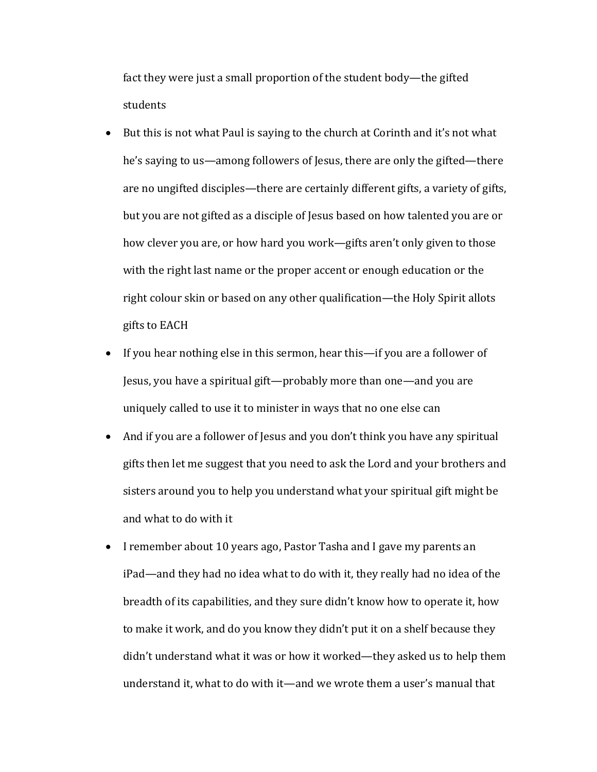fact they were just a small proportion of the student body—the gifted students

- But this is not what Paul is saying to the church at Corinth and it's not what he's saying to us—among followers of Jesus, there are only the gifted—there are no ungifted disciples—there are certainly different gifts, a variety of gifts, but you are not gifted as a disciple of Jesus based on how talented you are or how clever you are, or how hard you work—gifts aren't only given to those with the right last name or the proper accent or enough education or the right colour skin or based on any other qualification—the Holy Spirit allots gifts to EACH
- If you hear nothing else in this sermon, hear this—if you are a follower of Jesus, you have a spiritual gift—probably more than one—and you are uniquely called to use it to minister in ways that no one else can
- And if you are a follower of Jesus and you don't think you have any spiritual gifts then let me suggest that you need to ask the Lord and your brothers and sisters around you to help you understand what your spiritual gift might be and what to do with it
- I remember about 10 years ago, Pastor Tasha and I gave my parents an iPad—and they had no idea what to do with it, they really had no idea of the breadth of its capabilities, and they sure didn't know how to operate it, how to make it work, and do you know they didn't put it on a shelf because they didn't understand what it was or how it worked—they asked us to help them understand it, what to do with it—and we wrote them a user's manual that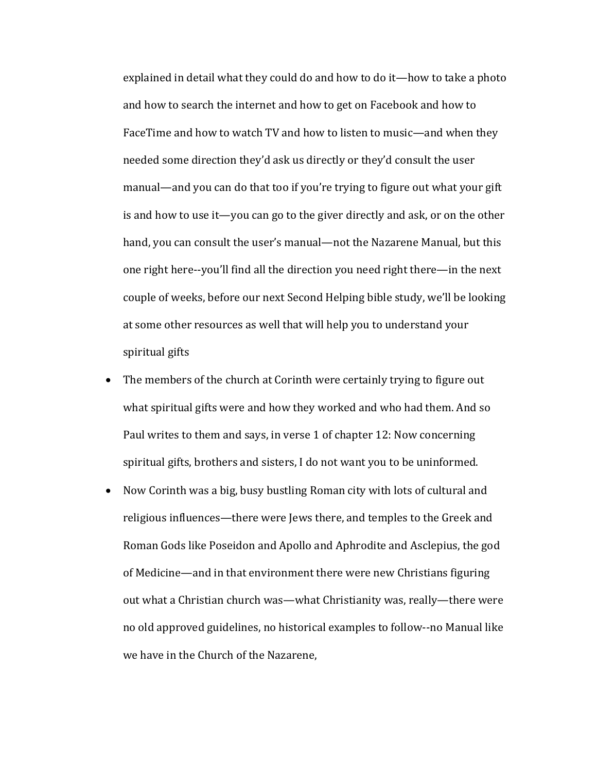explained in detail what they could do and how to do it—how to take a photo and how to search the internet and how to get on Facebook and how to FaceTime and how to watch TV and how to listen to music—and when they needed some direction they'd ask us directly or they'd consult the user manual—and you can do that too if you're trying to figure out what your gift is and how to use it—you can go to the giver directly and ask, or on the other hand, you can consult the user's manual—not the Nazarene Manual, but this one right here--you'll find all the direction you need right there—in the next couple of weeks, before our next Second Helping bible study, we'll be looking at some other resources as well that will help you to understand your spiritual gifts

- The members of the church at Corinth were certainly trying to figure out what spiritual gifts were and how they worked and who had them. And so Paul writes to them and says, in verse 1 of chapter 12: Now concerning spiritual gifts, brothers and sisters, I do not want you to be uninformed.
- Now Corinth was a big, busy bustling Roman city with lots of cultural and religious influences—there were Jews there, and temples to the Greek and Roman Gods like Poseidon and Apollo and Aphrodite and Asclepius, the god of Medicine—and in that environment there were new Christians figuring out what a Christian church was—what Christianity was, really—there were no old approved guidelines, no historical examples to follow--no Manual like we have in the Church of the Nazarene,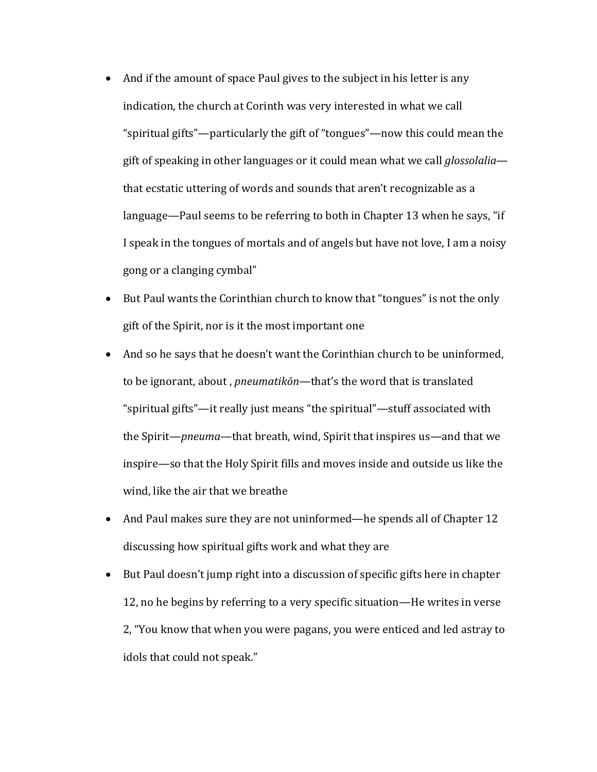- And if the amount of space Paul gives to the subject in his letter is any indication, the church at Corinth was very interested in what we call "spiritual gifts"—particularly the gift of "tongues"—now this could mean the gift of speaking in other languages or it could mean what we call *glossolalia* that ecstatic uttering of words and sounds that aren't recognizable as a language—Paul seems to be referring to both in Chapter 13 when he says, "if I speak in the tongues of mortals and of angels but have not love, I am a noisy gong or a clanging cymbal"
- But Paul wants the Corinthian church to know that "tongues" is not the only gift of the Spirit, nor is it the most important one
- And so he says that he doesn't want the Corinthian church to be uninformed, to be ignorant, about, *pneumatikōn*—that's the word that is translated "spiritual gifts"—it really just means "the spiritual"—stuff associated with the Spirit—*pneuma*—that breath, wind, Spirit that inspires us—and that we inspire—so that the Holy Spirit fills and moves inside and outside us like the wind, like the air that we breathe
- And Paul makes sure they are not uninformed—he spends all of Chapter 12 discussing how spiritual gifts work and what they are
- $\bullet$  But Paul doesn't jump right into a discussion of specific gifts here in chapter 12, no he begins by referring to a very specific situation—He writes in verse 2, "You know that when you were pagans, you were enticed and led astray to idols that could not speak."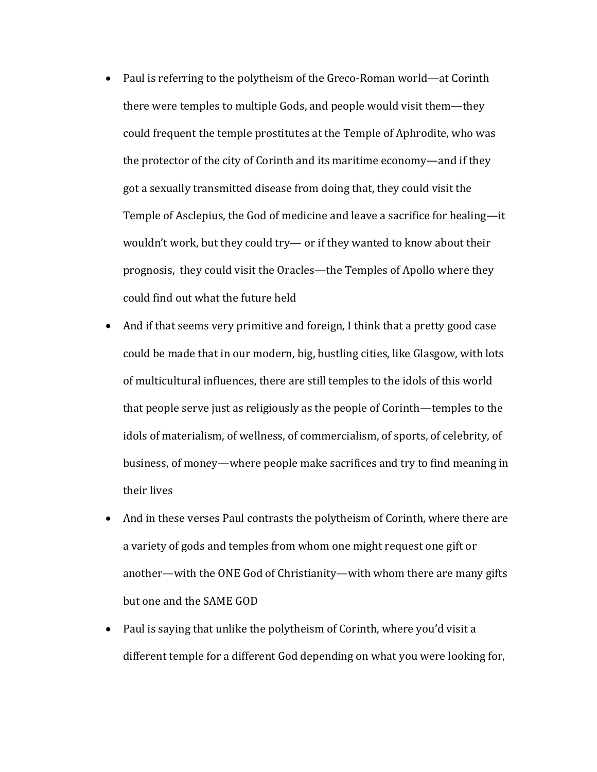- Paul is referring to the polytheism of the Greco-Roman world—at Corinth there were temples to multiple Gods, and people would visit them—they could frequent the temple prostitutes at the Temple of Aphrodite, who was the protector of the city of Corinth and its maritime economy—and if they got a sexually transmitted disease from doing that, they could visit the Temple of Asclepius, the God of medicine and leave a sacrifice for healing-it wouldn't work, but they could try— or if they wanted to know about their prognosis, they could visit the Oracles—the Temples of Apollo where they could find out what the future held
- And if that seems very primitive and foreign, I think that a pretty good case could be made that in our modern, big, bustling cities, like Glasgow, with lots of multicultural influences, there are still temples to the idols of this world that people serve just as religiously as the people of Corinth—temples to the idols of materialism, of wellness, of commercialism, of sports, of celebrity, of business, of money—where people make sacrifices and try to find meaning in their lives
- And in these verses Paul contrasts the polytheism of Corinth, where there are a variety of gods and temples from whom one might request one gift or another—with the ONE God of Christianity—with whom there are many gifts but one and the SAME GOD
- Paul is saying that unlike the polytheism of Corinth, where you'd visit a different temple for a different God depending on what you were looking for,